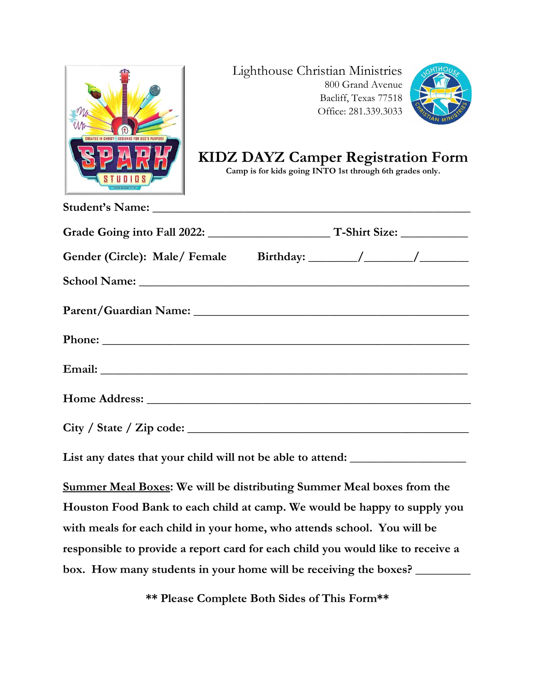

**Student's Name: \_\_\_\_\_\_\_\_\_\_\_\_\_\_\_\_\_\_\_\_\_\_\_\_\_\_\_\_\_\_\_\_\_\_\_\_\_\_\_\_\_\_\_\_\_\_\_\_\_\_\_\_**

#### Lighthouse Christian Ministries 800 Grand Avenue Bacliff, Texas 77518 Office: 281.339.3033



# **KIDZ DAYZ Camper Registration Form**

**Camp is for kids going INTO 1st through 6th grades only.**

**List any dates that your child will not be able to attend: \_\_\_\_\_\_\_\_\_\_\_\_\_\_\_\_\_\_\_**

**Summer Meal Boxes: We will be distributing Summer Meal boxes from the Houston Food Bank to each child at camp. We would be happy to supply you with meals for each child in your home, who attends school. You will be responsible to provide a report card for each child you would like to receive a box. How many students in your home will be receiving the boxes? \_\_\_\_\_\_\_\_\_**

**\*\* Please Complete Both Sides of This Form\*\***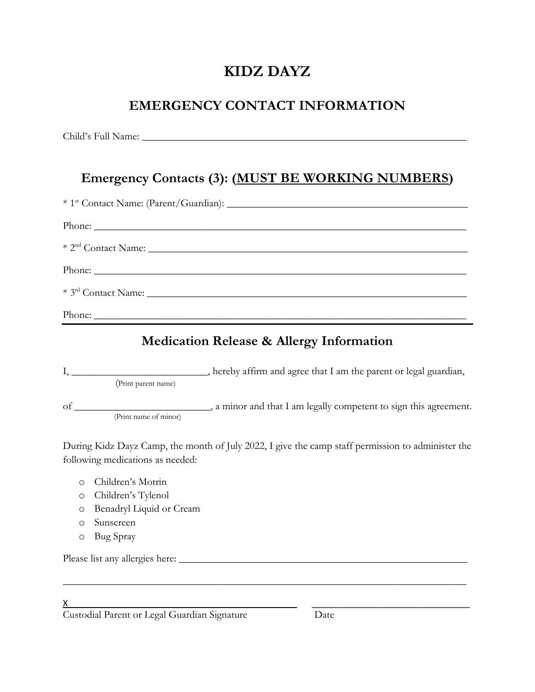# **KIDZ DAYZ**

# **EMERGENCY CONTACT INFORMATION**

Child's Full Name: \_\_\_\_\_\_\_\_\_\_\_\_\_\_\_\_\_\_\_\_\_\_\_\_\_\_\_\_\_\_\_\_\_\_\_\_\_\_\_\_\_\_\_\_\_\_\_\_\_\_\_\_\_\_\_\_\_\_\_\_\_\_

# **Emergency Contacts (3): (MUST BE WORKING NUMBERS)**

| Phone: |
|--------|
|        |
|        |
| Phone: |
|        |
|        |
|        |

## **Medication Release & Allergy Information**

|    |                       | hereby affirm and agree that I am the parent or legal guardian,   |
|----|-----------------------|-------------------------------------------------------------------|
|    | (Print parent name)   |                                                                   |
| of |                       | , a minor and that I am legally competent to sign this agreement. |
|    | (Print name of minor) |                                                                   |

During Kidz Dayz Camp, the month of July 2022, I give the camp staff permission to administer the following medications as needed:

\_\_\_\_\_\_\_\_\_\_\_\_\_\_\_\_\_\_\_\_\_\_\_\_\_\_\_\_\_\_\_\_\_\_\_\_\_\_\_\_\_\_\_\_\_\_\_\_\_\_\_\_\_\_\_\_\_\_\_\_\_\_\_\_\_\_\_\_\_\_\_\_\_\_\_\_\_

- o Children's Motrin
- o Children's Tylenol
- o Benadryl Liquid or Cream
- o Sunscreen
- o Bug Spray

Please list any allergies here: \_\_\_\_\_\_\_\_\_\_\_\_\_\_\_\_\_\_\_\_\_\_\_\_\_\_\_\_\_\_\_\_\_\_\_\_\_\_\_\_\_\_\_\_\_\_\_\_\_\_\_\_\_\_\_

 $\times$   $\,$ Custodial Parent or Legal Guardian Signature Date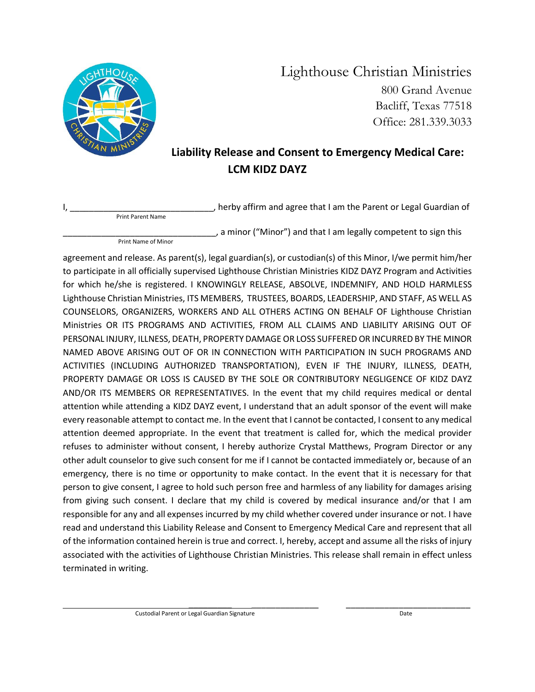

Lighthouse Christian Ministries 800 Grand Avenue Bacliff, Texas 77518 Office: 281.339.3033

#### **Liability Release and Consent to Emergency Medical Care: LCM KIDZ DAYZ**

, herby affirm and agree that I am the Parent or Legal Guardian of

Print Parent Name

Print Name of Minor

, a minor ("Minor") and that I am legally competent to sign this

agreement and release. As parent(s), legal guardian(s), or custodian(s) of this Minor, I/we permit him/her to participate in all officially supervised Lighthouse Christian Ministries KIDZ DAYZ Program and Activities for which he/she is registered. I KNOWINGLY RELEASE, ABSOLVE, INDEMNIFY, AND HOLD HARMLESS Lighthouse Christian Ministries, ITS MEMBERS, TRUSTEES, BOARDS, LEADERSHIP, AND STAFF, AS WELL AS COUNSELORS, ORGANIZERS, WORKERS AND ALL OTHERS ACTING ON BEHALF OF Lighthouse Christian Ministries OR ITS PROGRAMS AND ACTIVITIES, FROM ALL CLAIMS AND LIABILITY ARISING OUT OF PERSONAL INJURY, ILLNESS, DEATH, PROPERTY DAMAGE OR LOSS SUFFERED OR INCURRED BY THE MINOR NAMED ABOVE ARISING OUT OF OR IN CONNECTION WITH PARTICIPATION IN SUCH PROGRAMS AND ACTIVITIES (INCLUDING AUTHORIZED TRANSPORTATION), EVEN IF THE INJURY, ILLNESS, DEATH, PROPERTY DAMAGE OR LOSS IS CAUSED BY THE SOLE OR CONTRIBUTORY NEGLIGENCE OF KIDZ DAYZ AND/OR ITS MEMBERS OR REPRESENTATIVES. In the event that my child requires medical or dental attention while attending a KIDZ DAYZ event, I understand that an adult sponsor of the event will make every reasonable attempt to contact me. In the event that I cannot be contacted, I consent to any medical attention deemed appropriate. In the event that treatment is called for, which the medical provider refuses to administer without consent, I hereby authorize Crystal Matthews, Program Director or any other adult counselor to give such consent for me if I cannot be contacted immediately or, because of an emergency, there is no time or opportunity to make contact. In the event that it is necessary for that person to give consent, I agree to hold such person free and harmless of any liability for damages arising from giving such consent. I declare that my child is covered by medical insurance and/or that I am responsible for any and all expenses incurred by my child whether covered under insurance or not. I have read and understand this Liability Release and Consent to Emergency Medical Care and represent that all of the information contained herein is true and correct. I, hereby, accept and assume all the risks of injury associated with the activities of Lighthouse Christian Ministries. This release shall remain in effect unless terminated in writing.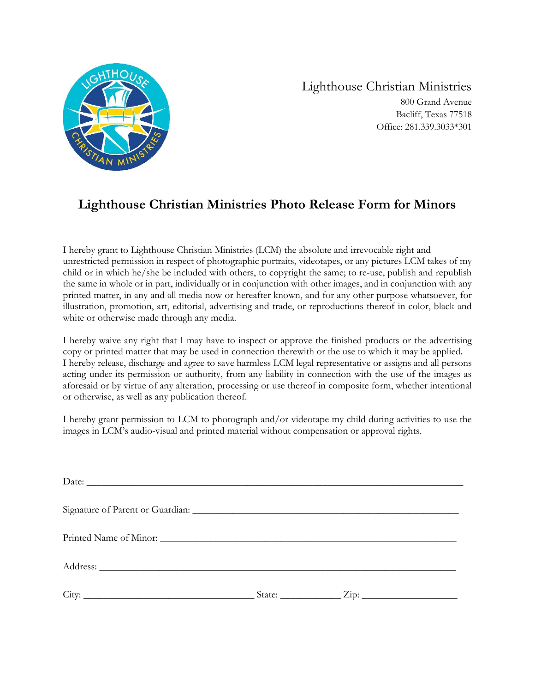

Lighthouse Christian Ministries 800 Grand Avenue Bacliff, Texas 77518 Office: 281.339.3033\*301

#### **Lighthouse Christian Ministries Photo Release Form for Minors**

I hereby grant to Lighthouse Christian Ministries (LCM) the absolute and irrevocable right and unrestricted permission in respect of photographic portraits, videotapes, or any pictures LCM takes of my child or in which he/she be included with others, to copyright the same; to re-use, publish and republish the same in whole or in part, individually or in conjunction with other images, and in conjunction with any printed matter, in any and all media now or hereafter known, and for any other purpose whatsoever, for illustration, promotion, art, editorial, advertising and trade, or reproductions thereof in color, black and white or otherwise made through any media.

I hereby waive any right that I may have to inspect or approve the finished products or the advertising copy or printed matter that may be used in connection therewith or the use to which it may be applied. I hereby release, discharge and agree to save harmless LCM legal representative or assigns and all persons acting under its permission or authority, from any liability in connection with the use of the images as aforesaid or by virtue of any alteration, processing or use thereof in composite form, whether intentional or otherwise, as well as any publication thereof.

I hereby grant permission to LCM to photograph and/or videotape my child during activities to use the images in LCM's audio-visual and printed material without compensation or approval rights.